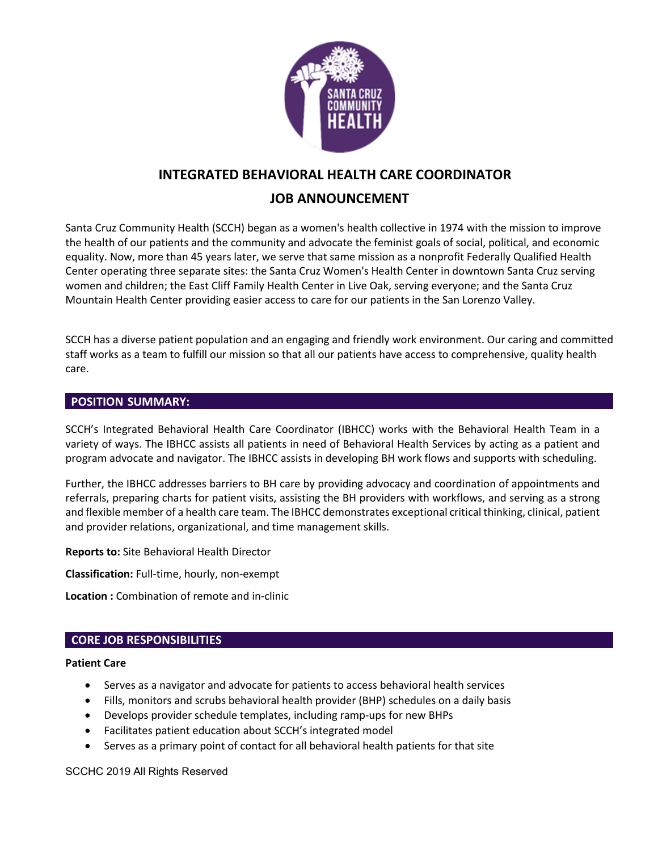

# **INTEGRATED BEHAVIORAL HEALTH CARE COORDINATOR JOB ANNOUNCEMENT**

## Santa Cruz Community Health (SCCH) began as a women's health collective in 1974 with the mission to improve the health of our patients and the community and advocate the feminist goals of social, political, and economic equality. Now, more than 45 years later, we serve that same mission as a nonprofit Federally Qualified Health Center operating three separate sites: the Santa Cruz Women's Health Center in downtown Santa Cruz serving women and children; the East Cliff Family Health Center in Live Oak, serving everyone; and the Santa Cruz

Mountain Health Center providing easier access to care for our patients in the San Lorenzo Valley.

SCCH has a diverse patient population and an engaging and friendly work environment. Our caring and committed staff works as a team to fulfill our mission so that all our patients have access to comprehensive, quality health care.

## **POSITION SUMMARY:**

SCCH's Integrated Behavioral Health Care Coordinator (IBHCC) works with the Behavioral Health Team in a variety of ways. The IBHCC assists all patients in need of Behavioral Health Services by acting as a patient and program advocate and navigator. The IBHCC assists in developing BH work flows and supports with scheduling.

Further, the IBHCC addresses barriers to BH care by providing advocacy and coordination of appointments and referrals, preparing charts for patient visits, assisting the BH providers with workflows, and serving as a strong and flexible member of a health care team. The IBHCC demonstrates exceptional critical thinking, clinical, patient and provider relations, organizational, and time management skills.

**Reports to:** Site Behavioral Health Director

**Classification:** Full-time, hourly, non-exempt

**Location :** Combination of remote and in-clinic

## **CORE JOB RESPONSIBILITIES**

## **Patient Care**

- Serves as a navigator and advocate for patients to access behavioral health services
- Fills, monitors and scrubs behavioral health provider (BHP) schedules on a daily basis
- Develops provider schedule templates, including ramp-ups for new BHPs
- Facilitates patient education about SCCH's integrated model
- Serves as a primary point of contact for all behavioral health patients for that site

SCCHC 2019 All Rights Reserved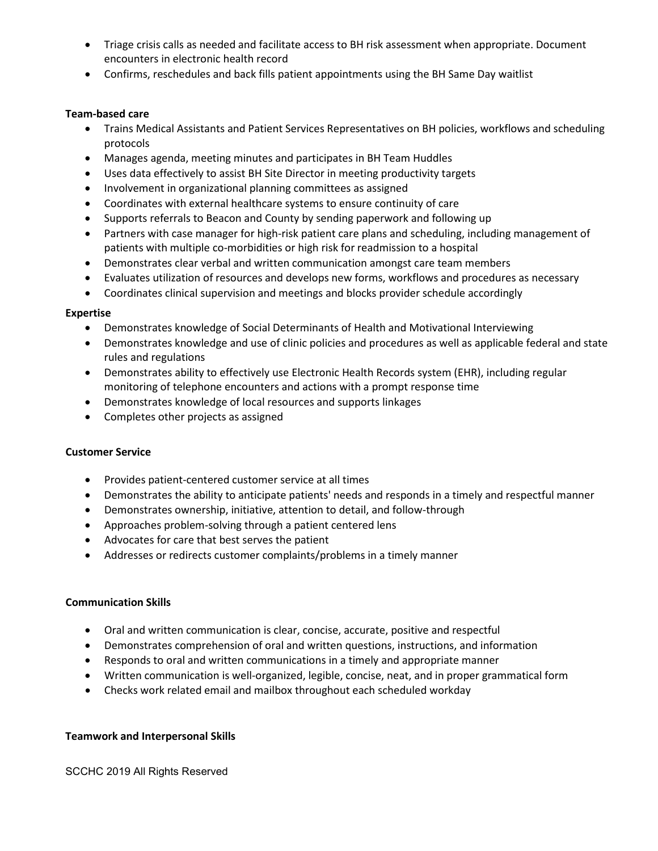- Triage crisis calls as needed and facilitate access to BH risk assessment when appropriate. Document encounters in electronic health record
- Confirms, reschedules and back fills patient appointments using the BH Same Day waitlist

## **Team-based care**

- Trains Medical Assistants and Patient Services Representatives on BH policies, workflows and scheduling protocols
- Manages agenda, meeting minutes and participates in BH Team Huddles
- Uses data effectively to assist BH Site Director in meeting productivity targets
- Involvement in organizational planning committees as assigned
- Coordinates with external healthcare systems to ensure continuity of care
- Supports referrals to Beacon and County by sending paperwork and following up
- Partners with case manager for high-risk patient care plans and scheduling, including management of patients with multiple co-morbidities or high risk for readmission to a hospital
- Demonstrates clear verbal and written communication amongst care team members
- Evaluates utilization of resources and develops new forms, workflows and procedures as necessary
- Coordinates clinical supervision and meetings and blocks provider schedule accordingly

#### **Expertise**

- Demonstrates knowledge of Social Determinants of Health and Motivational Interviewing
- Demonstrates knowledge and use of clinic policies and procedures as well as applicable federal and state rules and regulations
- Demonstrates ability to effectively use Electronic Health Records system (EHR), including regular monitoring of telephone encounters and actions with a prompt response time
- Demonstrates knowledge of local resources and supports linkages
- Completes other projects as assigned

#### **Customer Service**

- Provides patient-centered customer service at all times
- Demonstrates the ability to anticipate patients' needs and responds in a timely and respectful manner
- Demonstrates ownership, initiative, attention to detail, and follow-through
- Approaches problem-solving through a patient centered lens
- Advocates for care that best serves the patient
- Addresses or redirects customer complaints/problems in a timely manner

#### **Communication Skills**

- Oral and written communication is clear, concise, accurate, positive and respectful
- Demonstrates comprehension of oral and written questions, instructions, and information
- Responds to oral and written communications in a timely and appropriate manner
- Written communication is well-organized, legible, concise, neat, and in proper grammatical form
- Checks work related email and mailbox throughout each scheduled workday

#### **Teamwork and Interpersonal Skills**

SCCHC 2019 All Rights Reserved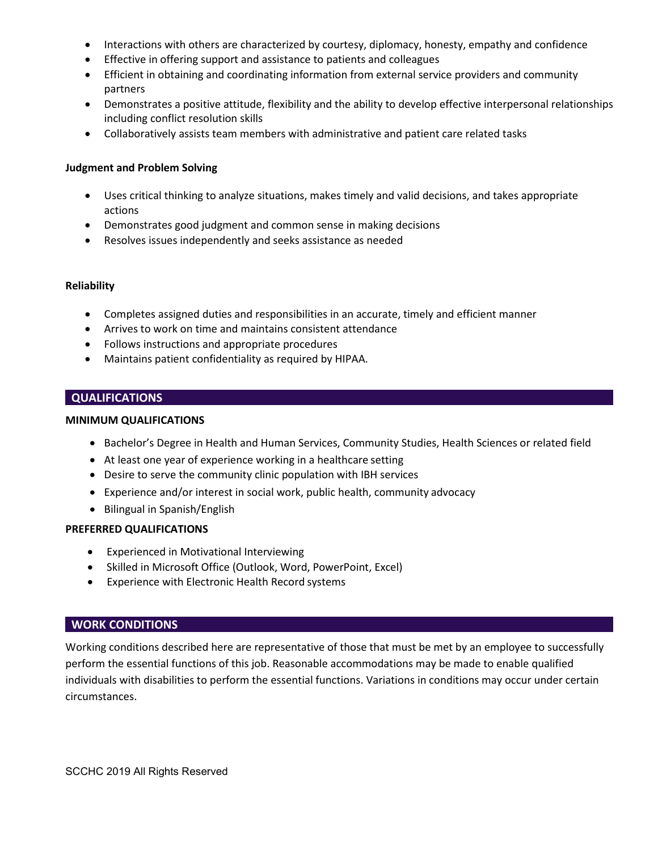- Interactions with others are characterized by courtesy, diplomacy, honesty, empathy and confidence
- Effective in offering support and assistance to patients and colleagues
- Efficient in obtaining and coordinating information from external service providers and community partners
- Demonstrates a positive attitude, flexibility and the ability to develop effective interpersonal relationships including conflict resolution skills
- Collaboratively assists team members with administrative and patient care related tasks

#### **Judgment and Problem Solving**

- Uses critical thinking to analyze situations, makes timely and valid decisions, and takes appropriate actions
- Demonstrates good judgment and common sense in making decisions
- Resolves issues independently and seeks assistance as needed

#### **Reliability**

- Completes assigned duties and responsibilities in an accurate, timely and efficient manner
- Arrives to work on time and maintains consistent attendance
- Follows instructions and appropriate procedures
- Maintains patient confidentiality as required by HIPAA.

#### **QUALIFICATIONS**

#### **MINIMUM QUALIFICATIONS**

- Bachelor's Degree in Health and Human Services, Community Studies, Health Sciences or related field
- At least one year of experience working in a healthcare setting
- Desire to serve the community clinic population with IBH services
- Experience and/or interest in social work, public health, community advocacy
- Bilingual in Spanish/English

#### **PREFERRED QUALIFICATIONS**

- Experienced in Motivational Interviewing
- Skilled in Microsoft Office (Outlook, Word, PowerPoint, Excel)
- Experience with Electronic Health Record systems

#### **WORK CONDITIONS**

Working conditions described here are representative of those that must be met by an employee to successfully perform the essential functions of this job. Reasonable accommodations may be made to enable qualified individuals with disabilities to perform the essential functions. Variations in conditions may occur under certain circumstances.